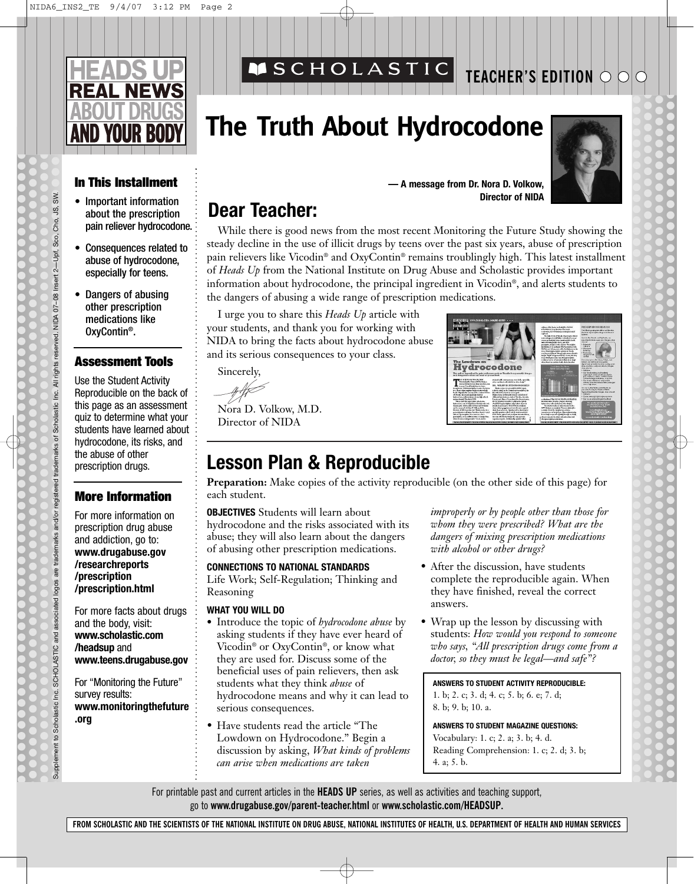

## **MSCHOLASTIC**

## **TEACHER'S EDITION**

# **The Truth About Hydrocodone**



### **In This Installment**

- Important information about the prescription pain reliever hydrocodone.
- Consequences related to abuse of hydrocodone, especially for teens.
- Dangers of abusing other prescription medications like OxyContin®.

#### **Assessment Tools**

Use the Student Activity Reproducible on the back of this page as an assessment quiz to determine what your students have learned about hydrocodone, its risks, and the abuse of other prescription drugs.

### **More Information**

For more information on prescription drug abuse and addiction, go to: **www.drugabuse.gov /researchreports /prescription /prescription.html**

For more facts about drugs and the body, visit: **www.scholastic.com /headsup** and **www.teens.drugabuse.gov**

For "Monitoring the Future" survey results: **www.monitoringthefuture .org**

**— A message from Dr. Nora D. Volkow, Director of NIDA**

**Hydrocodone** 

## **Dear Teacher:**

While there is good news from the most recent Monitoring the Future Study showing the steady decline in the use of illicit drugs by teens over the past six years, abuse of prescription pain relievers like Vicodin® and OxyContin® remains troublingly high. This latest installment of *Heads Up* from the National Institute on Drug Abuse and Scholastic provides important information about hydrocodone, the principal ingredient in Vicodin®, and alerts students to the dangers of abusing a wide range of prescription medications.

I urge you to share this *Heads Up* article with your students, and thank you for working with NIDA to bring the facts about hydrocodone abuse and its serious consequences to your class.

Sincerely,

Nora D. Volkow, M.D. Director of NIDA

### **Lesson Plan & Reproducible**

**Preparation:** Make copies of the activity reproducible (on the other side of this page) for each student.

**OBJECTIVES** Students will learn about hydrocodone and the risks associated with its abuse; they will also learn about the dangers of abusing other prescription medications.

#### **CONNECTIONS TO NATIONAL STANDARDS**

Life Work; Self-Regulation; Thinking and Reasoning

#### **WHAT YOU WILL DO**

- **•** Introduce the topic of *hydrocodone abuse* by asking students if they have ever heard of Vicodin® or OxyContin®, or know what they are used for. Discuss some of the beneficial uses of pain relievers, then ask students what they think *abuse* of hydrocodone means and why it can lead to serious consequences.
- Have students read the article "The Lowdown on Hydrocodone." Begin a discussion by asking, *What kinds of problems can arise when medications are taken*

*improperly or by people other than those for whom they were prescribed? What are the dangers of mixing prescription medications with alcohol or other drugs?*

- After the discussion, have students complete the reproducible again. When they have finished, reveal the correct answers.
- Wrap up the lesson by discussing with students: *How would you respond to someone who says, "All prescription drugs come from a doctor, so they must be legal—and safe"?*

**ANSWERS TO STUDENT ACTIVITY REPRODUCIBLE:** 

1. b; 2. c; 3. d; 4. c; 5. b; 6. e; 7. d; 8. b; 9. b; 10. a.

**ANSWERS TO STUDENT MAGAZINE QUESTIONS:**  Vocabulary: 1. c; 2. a; 3. b; 4. d. Reading Comprehension: 1. c; 2. d; 3. b; 4. a; 5. b.

For printable past and current articles in the **HEADS UP** series, as well as activities and teaching support, go to **www.drugabuse.gov/parent-teacher.html** or **www.scholastic.com/HEADSUP.**



**FROM SCHOLASTIC AND THE SCIENTISTS OF THE NATIONAL INSTITUTE ON DRUG ABUSE, NATIONAL INSTITUTES OF HEALTH, U.S. DEPARTMENT OF HEALTH AND HUMAN SERVICES**

SW. ιŚ,